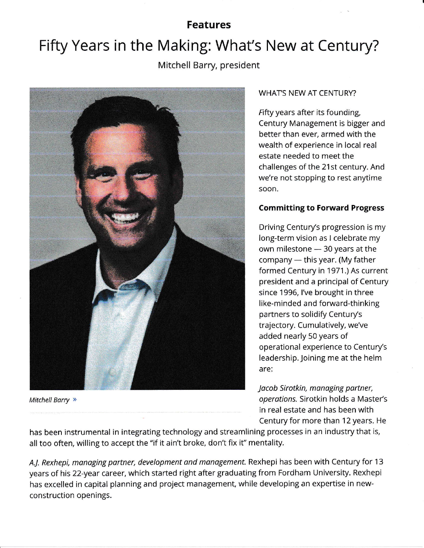# Features

# Fifty Years in the Making: What's New at Century?

Mitchell Barry, president



Mitchell Barry »

#### WHAT'S NEW AT CENTURY?

Fifty years after its founding, Century Management is bigger and better than ever, armed with the wealth of experience in local real estate needed to meet the challenges of the 21st century. And we're not stopping to rest anytime soon,

#### Committing to Forward Progress

Driving Century's progression is my long-term vision as I celebrate my own milestone - 30 years at the company — this year. (My father<br>formed Century in 1971.) As sure formed Century in 1971.) As current president and a principal of Century since 1996, l've brought in three like-minded and forward-thinking partners to solidify Century's trajectory. Cumulatively, we've added nearly 50 years of operational experience to Century's leadership. Joining me at the helm are:

Jacob Sirotkin, managing partner, operations. Sirotkin holds a Master's in real estate and has been with Century for more than 12 years. He

has been instrumental in integrating technology and streamlining processes in an industry that is, all too often, willing to accept the "if it ain't broke, don't fix if' mentality.

A.J. Rexhepi, managing partner, development and management. Rexhepi has been with Century for 13 years of his 22-year career, which started right after graduating from Fordham University. Rexhepi has excelled in capital planning and project management, while developing an expertise in newconstruction openings.